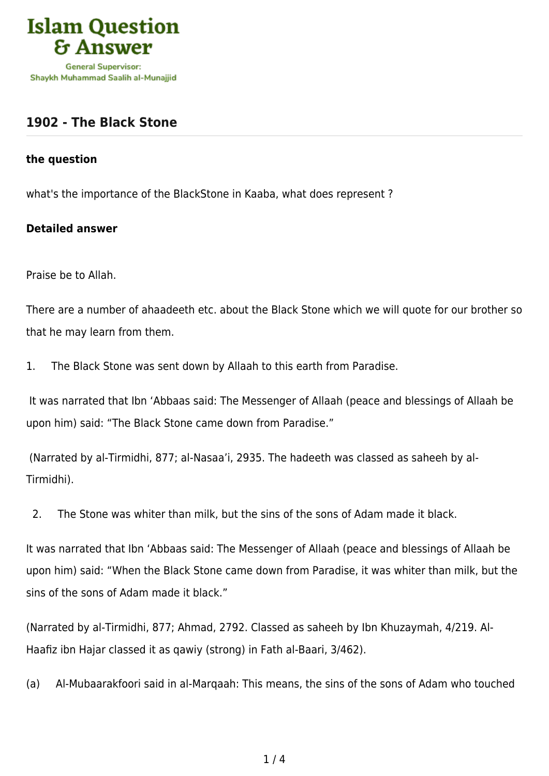

## **[1902 - The Black Stone](https://islamqa.com/en/answers/1902/the-black-stone)**

## **the question**

what's the importance of the BlackStone in Kaaba, what does represent ?

## **Detailed answer**

Praise be to Allah.

There are a number of ahaadeeth etc. about the Black Stone which we will quote for our brother so that he may learn from them.

1. The Black Stone was sent down by Allaah to this earth from Paradise.

 It was narrated that Ibn 'Abbaas said: The Messenger of Allaah (peace and blessings of Allaah be upon him) said: "The Black Stone came down from Paradise."

 (Narrated by al-Tirmidhi, 877; al-Nasaa'i, 2935. The hadeeth was classed as saheeh by al-Tirmidhi).

2. The Stone was whiter than milk, but the sins of the sons of Adam made it black.

It was narrated that Ibn 'Abbaas said: The Messenger of Allaah (peace and blessings of Allaah be upon him) said: "When the Black Stone came down from Paradise, it was whiter than milk, but the sins of the sons of Adam made it black."

(Narrated by al-Tirmidhi, 877; Ahmad, 2792. Classed as saheeh by Ibn Khuzaymah, 4/219. Al-Haafiz ibn Hajar classed it as qawiy (strong) in Fath al-Baari, 3/462).

(a) Al-Mubaarakfoori said in al-Marqaah: This means, the sins of the sons of Adam who touched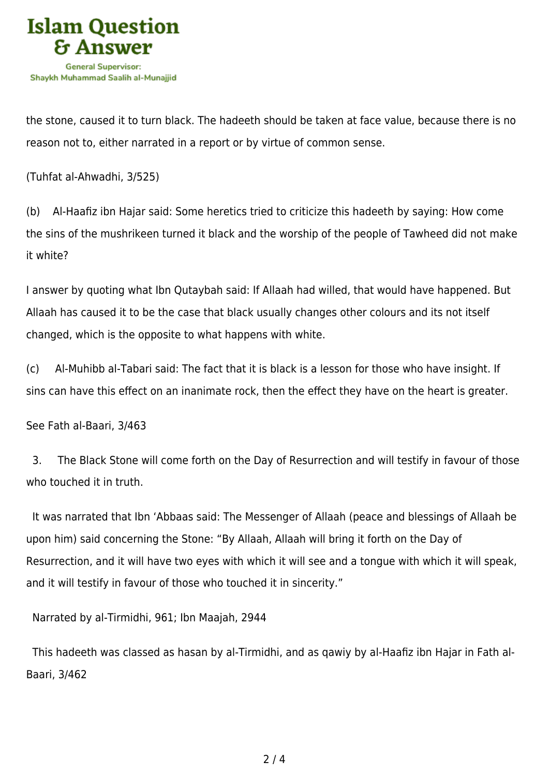

the stone, caused it to turn black. The hadeeth should be taken at face value, because there is no reason not to, either narrated in a report or by virtue of common sense.

(Tuhfat al-Ahwadhi, 3/525)

(b) Al-Haafiz ibn Hajar said: Some heretics tried to criticize this hadeeth by saying: How come the sins of the mushrikeen turned it black and the worship of the people of Tawheed did not make it white?

I answer by quoting what Ibn Qutaybah said: If Allaah had willed, that would have happened. But Allaah has caused it to be the case that black usually changes other colours and its not itself changed, which is the opposite to what happens with white.

(c) Al-Muhibb al-Tabari said: The fact that it is black is a lesson for those who have insight. If sins can have this effect on an inanimate rock, then the effect they have on the heart is greater.

See Fath al-Baari, 3/463

 3. The Black Stone will come forth on the Day of Resurrection and will testify in favour of those who touched it in truth.

 It was narrated that Ibn 'Abbaas said: The Messenger of Allaah (peace and blessings of Allaah be upon him) said concerning the Stone: "By Allaah, Allaah will bring it forth on the Day of Resurrection, and it will have two eyes with which it will see and a tongue with which it will speak, and it will testify in favour of those who touched it in sincerity."

Narrated by al-Tirmidhi, 961; Ibn Maajah, 2944

 This hadeeth was classed as hasan by al-Tirmidhi, and as qawiy by al-Haafiz ibn Hajar in Fath al-Baari, 3/462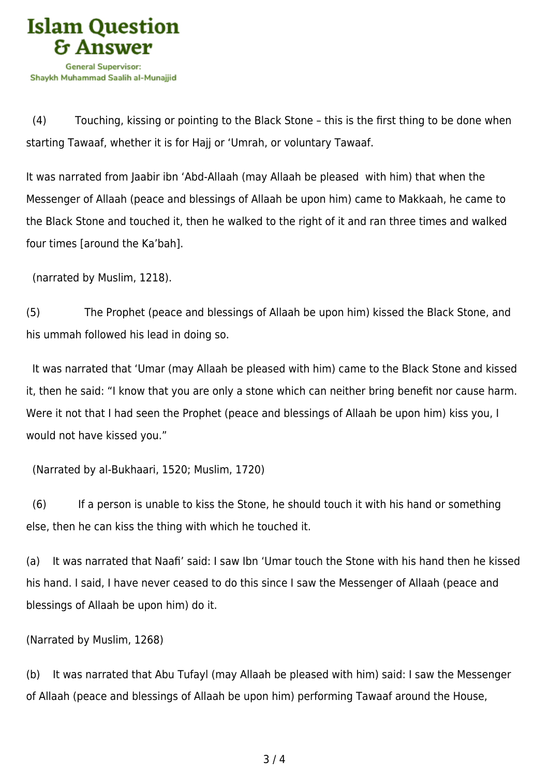

 (4) Touching, kissing or pointing to the Black Stone – this is the first thing to be done when starting Tawaaf, whether it is for Hajj or 'Umrah, or voluntary Tawaaf.

It was narrated from Jaabir ibn 'Abd-Allaah (may Allaah be pleased with him) that when the Messenger of Allaah (peace and blessings of Allaah be upon him) came to Makkaah, he came to the Black Stone and touched it, then he walked to the right of it and ran three times and walked four times [around the Ka'bah].

(narrated by Muslim, 1218).

(5) The Prophet (peace and blessings of Allaah be upon him) kissed the Black Stone, and his ummah followed his lead in doing so.

 It was narrated that 'Umar (may Allaah be pleased with him) came to the Black Stone and kissed it, then he said: "I know that you are only a stone which can neither bring benefit nor cause harm. Were it not that I had seen the Prophet (peace and blessings of Allaah be upon him) kiss you, I would not have kissed you."

(Narrated by al-Bukhaari, 1520; Muslim, 1720)

 (6) If a person is unable to kiss the Stone, he should touch it with his hand or something else, then he can kiss the thing with which he touched it.

(a) It was narrated that Naafi' said: I saw Ibn 'Umar touch the Stone with his hand then he kissed his hand. I said, I have never ceased to do this since I saw the Messenger of Allaah (peace and blessings of Allaah be upon him) do it.

(Narrated by Muslim, 1268)

(b) It was narrated that Abu Tufayl (may Allaah be pleased with him) said: I saw the Messenger of Allaah (peace and blessings of Allaah be upon him) performing Tawaaf around the House,